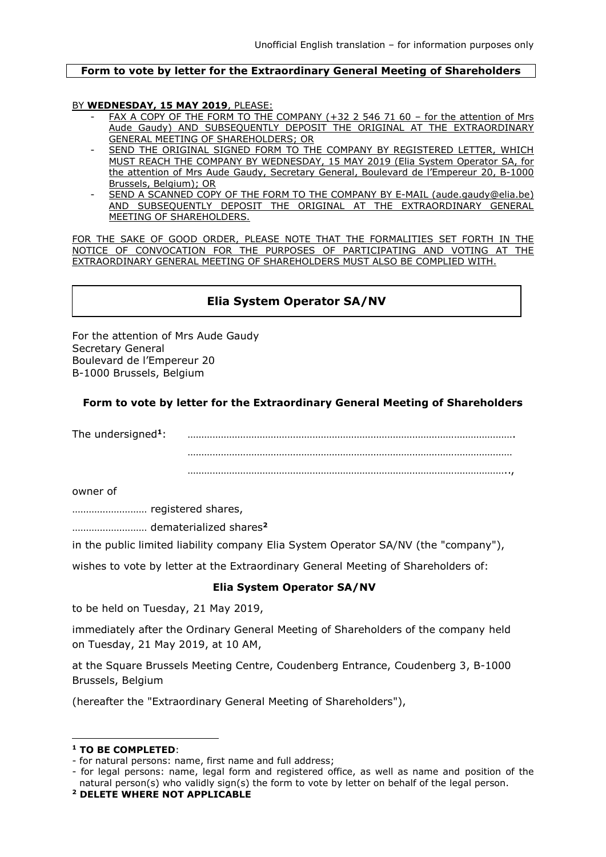#### **Form to vote by letter for the Extraordinary General Meeting of Shareholders**

### BY **WEDNESDAY, 15 MAY 2019**, PLEASE:

- FAX A COPY OF THE FORM TO THE COMPANY (+32 2 546 71 60 for the attention of Mrs Aude Gaudy) AND SUBSEQUENTLY DEPOSIT THE ORIGINAL AT THE EXTRAORDINARY GENERAL MEETING OF SHAREHOLDERS; OR
- SEND THE ORIGINAL SIGNED FORM TO THE COMPANY BY REGISTERED LETTER, WHICH MUST REACH THE COMPANY BY WEDNESDAY, 15 MAY 2019 (Elia System Operator SA, for the attention of Mrs Aude Gaudy, Secretary General, Boulevard de l'Empereur 20, B-1000 Brussels, Belgium); OR
- SEND A SCANNED COPY OF THE FORM TO THE COMPANY BY E-MAIL (aude.gaudy@elia.be) AND SUBSEQUENTLY DEPOSIT THE ORIGINAL AT THE EXTRAORDINARY GENERAL MEETING OF SHAREHOLDERS.

FOR THE SAKE OF GOOD ORDER, PLEASE NOTE THAT THE FORMALITIES SET FORTH IN THE NOTICE OF CONVOCATION FOR THE PURPOSES OF PARTICIPATING AND VOTING AT THE EXTRAORDINARY GENERAL MEETING OF SHAREHOLDERS MUST ALSO BE COMPLIED WITH.

# **Elia System Operator SA/NV**

For the attention of Mrs Aude Gaudy Secretary General Boulevard de l'Empereur 20 B-1000 Brussels, Belgium

## **Form to vote by letter for the Extraordinary General Meeting of Shareholders**

The undersigned**<sup>1</sup>** : with the state of the state of the state of the state of the state of the state of the state of the state of the state of the state of the state of the state of the state of the state of the state of the state of the st ………………………………………………………………………………………………………

……………………………………………………………………………………………………..,

owner of

……………………… registered shares,

……………………… dematerialized shares**<sup>2</sup>**

in the public limited liability company Elia System Operator SA/NV (the "company"),

wishes to vote by letter at the Extraordinary General Meeting of Shareholders of:

## **Elia System Operator SA/NV**

to be held on Tuesday, 21 May 2019,

immediately after the Ordinary General Meeting of Shareholders of the company held on Tuesday, 21 May 2019, at 10 AM,

at the Square Brussels Meeting Centre, Coudenberg Entrance, Coudenberg 3, B-1000 Brussels, Belgium

(hereafter the "Extraordinary General Meeting of Shareholders"),

1

- for legal persons: name, legal form and registered office, as well as name and position of the natural person(s) who validly sign(s) the form to vote by letter on behalf of the legal person.

**<sup>1</sup> TO BE COMPLETED**:

<sup>-</sup> for natural persons: name, first name and full address;

**<sup>2</sup> DELETE WHERE NOT APPLICABLE**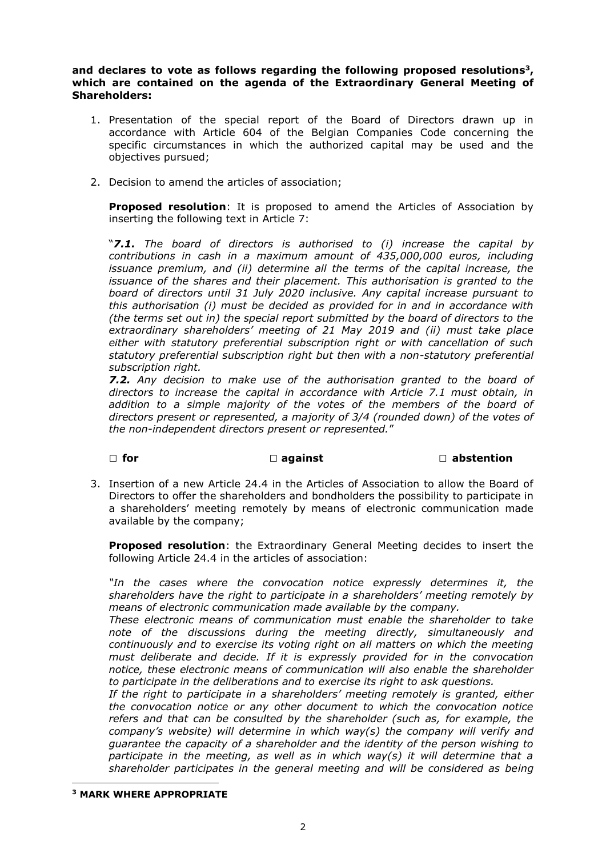**and declares to vote as follows regarding the following proposed resolutions<sup>3</sup> , which are contained on the agenda of the Extraordinary General Meeting of Shareholders:**

- 1. Presentation of the special report of the Board of Directors drawn up in accordance with Article 604 of the Belgian Companies Code concerning the specific circumstances in which the authorized capital may be used and the objectives pursued;
- 2. Decision to amend the articles of association;

**Proposed resolution**: It is proposed to amend the Articles of Association by inserting the following text in Article 7:

"*7.1. The board of directors is authorised to (i) increase the capital by contributions in cash in a maximum amount of 435,000,000 euros, including issuance premium, and (ii) determine all the terms of the capital increase, the issuance of the shares and their placement. This authorisation is granted to the board of directors until 31 July 2020 inclusive. Any capital increase pursuant to this authorisation (i) must be decided as provided for in and in accordance with (the terms set out in) the special report submitted by the board of directors to the extraordinary shareholders' meeting of 21 May 2019 and (ii) must take place either with statutory preferential subscription right or with cancellation of such statutory preferential subscription right but then with a non-statutory preferential subscription right.* 

*7.2. Any decision to make use of the authorisation granted to the board of directors to increase the capital in accordance with Article 7.1 must obtain, in addition to a simple majority of the votes of the members of the board of directors present or represented, a majority of 3/4 (rounded down) of the votes of the non-independent directors present or represented.*"

#### **□ for □ against □ abstention**

3. Insertion of a new Article 24.4 in the Articles of Association to allow the Board of Directors to offer the shareholders and bondholders the possibility to participate in a shareholders' meeting remotely by means of electronic communication made available by the company;

**Proposed resolution**: the Extraordinary General Meeting decides to insert the following Article 24.4 in the articles of association:

*"In the cases where the convocation notice expressly determines it, the shareholders have the right to participate in a shareholders' meeting remotely by means of electronic communication made available by the company.*

*These electronic means of communication must enable the shareholder to take note of the discussions during the meeting directly, simultaneously and continuously and to exercise its voting right on all matters on which the meeting must deliberate and decide. If it is expressly provided for in the convocation notice, these electronic means of communication will also enable the shareholder to participate in the deliberations and to exercise its right to ask questions.* 

*If the right to participate in a shareholders' meeting remotely is granted, either the convocation notice or any other document to which the convocation notice refers and that can be consulted by the shareholder (such as, for example, the company's website) will determine in which way(s) the company will verify and guarantee the capacity of a shareholder and the identity of the person wishing to*  participate in the meeting, as well as in which way(s) it will determine that a *shareholder participates in the general meeting and will be considered as being* 

**<sup>3</sup> MARK WHERE APPROPRIATE**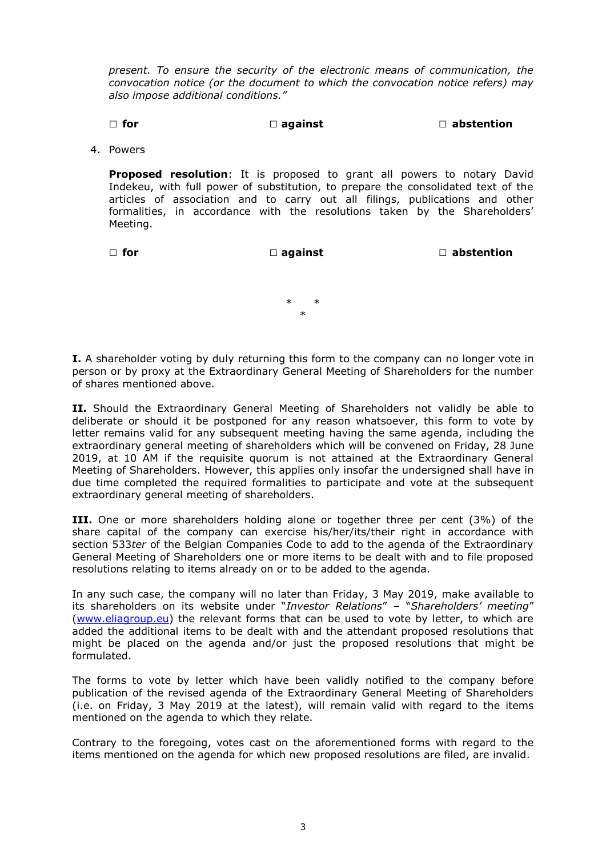*present. To ensure the security of the electronic means of communication, the convocation notice (or the document to which the convocation notice refers) may also impose additional conditions."* 

## **□ for □ against □ abstention**

4. Powers

**Proposed resolution**: It is proposed to grant all powers to notary David Indekeu, with full power of substitution, to prepare the consolidated text of the articles of association and to carry out all filings, publications and other formalities, in accordance with the resolutions taken by the Shareholders' Meeting.

**□ for □ against □ abstention**

\* \* \*

**I.** A shareholder voting by duly returning this form to the company can no longer vote in person or by proxy at the Extraordinary General Meeting of Shareholders for the number of shares mentioned above.

**II.** Should the Extraordinary General Meeting of Shareholders not validly be able to deliberate or should it be postponed for any reason whatsoever, this form to vote by letter remains valid for any subsequent meeting having the same agenda, including the extraordinary general meeting of shareholders which will be convened on Friday, 28 June 2019, at 10 AM if the requisite quorum is not attained at the Extraordinary General Meeting of Shareholders. However, this applies only insofar the undersigned shall have in due time completed the required formalities to participate and vote at the subsequent extraordinary general meeting of shareholders.

**III.** One or more shareholders holding alone or together three per cent (3%) of the share capital of the company can exercise his/her/its/their right in accordance with section 533*ter* of the Belgian Companies Code to add to the agenda of the Extraordinary General Meeting of Shareholders one or more items to be dealt with and to file proposed resolutions relating to items already on or to be added to the agenda.

In any such case, the company will no later than Friday, 3 May 2019, make available to its shareholders on its website under "*Investor Relations*" – "*Shareholders' meeting*" [\(www.eliagroup.eu\)](http://www.eliagroup.eu/) the relevant forms that can be used to vote by letter, to which are added the additional items to be dealt with and the attendant proposed resolutions that might be placed on the agenda and/or just the proposed resolutions that might be formulated.

The forms to vote by letter which have been validly notified to the company before publication of the revised agenda of the Extraordinary General Meeting of Shareholders (i.e. on Friday, 3 May 2019 at the latest), will remain valid with regard to the items mentioned on the agenda to which they relate.

Contrary to the foregoing, votes cast on the aforementioned forms with regard to the items mentioned on the agenda for which new proposed resolutions are filed, are invalid.